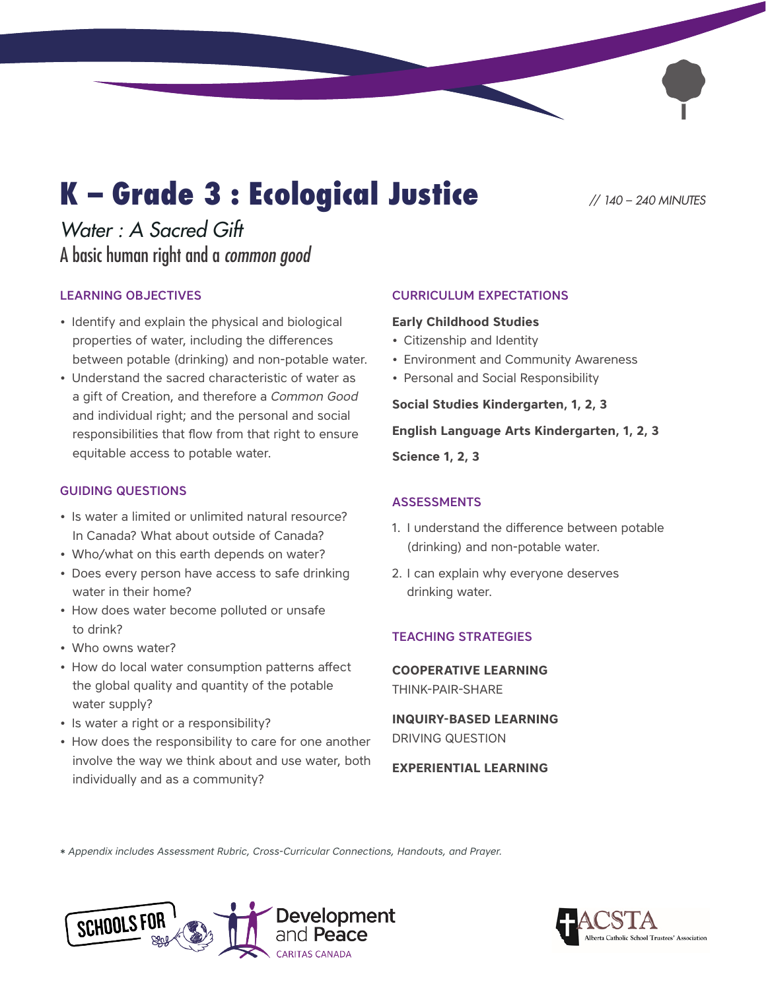# K – Grade 3 : Ecological Justice *// 140 – 240 MINUTES*

## *Water : A Sacred Gift*  A basic human right and a *common good*

### LEARNING OBJECTIVES

- Identify and explain the physical and biological properties of water, including the differences between potable (drinking) and non-potable water.
- Understand the sacred characteristic of water as a gift of Creation, and therefore a *Common Good* and individual right; and the personal and social responsibilities that flow from that right to ensure equitable access to potable water.

#### GUIDING QUESTIONS

- Is water a limited or unlimited natural resource? In Canada? What about outside of Canada?
- Who/what on this earth depends on water?
- Does every person have access to safe drinking water in their home?
- How does water become polluted or unsafe to drink?
- Who owns water?
- How do local water consumption patterns affect the global quality and quantity of the potable water supply?
- Is water a right or a responsibility?
- How does the responsibility to care for one another involve the way we think about and use water, both individually and as a community?

#### CURRICULUM EXPECTATIONS

#### **Early Childhood Studies**

- Citizenship and Identity
- Environment and Community Awareness
- Personal and Social Responsibility

#### **Social Studies Kindergarten, 1, 2, 3**

#### **English Language Arts Kindergarten, 1, 2, 3**

**Science 1, 2, 3**

#### ASSESSMENTS

- 1. I understand the difference between potable (drinking) and non-potable water.
- 2. I can explain why everyone deserves drinking water.

#### TEACHING STRATEGIES

**COOPERATIVE LEARNING**  THINK-PAIR-SHARE

**INQUIRY-BASED LEARNING**  DRIVING QUESTION

#### **EXPERIENTIAL LEARNING**

*\* Appendix includes Assessment Rubric, Cross-Curricular Connections, Handouts, and Prayer.*



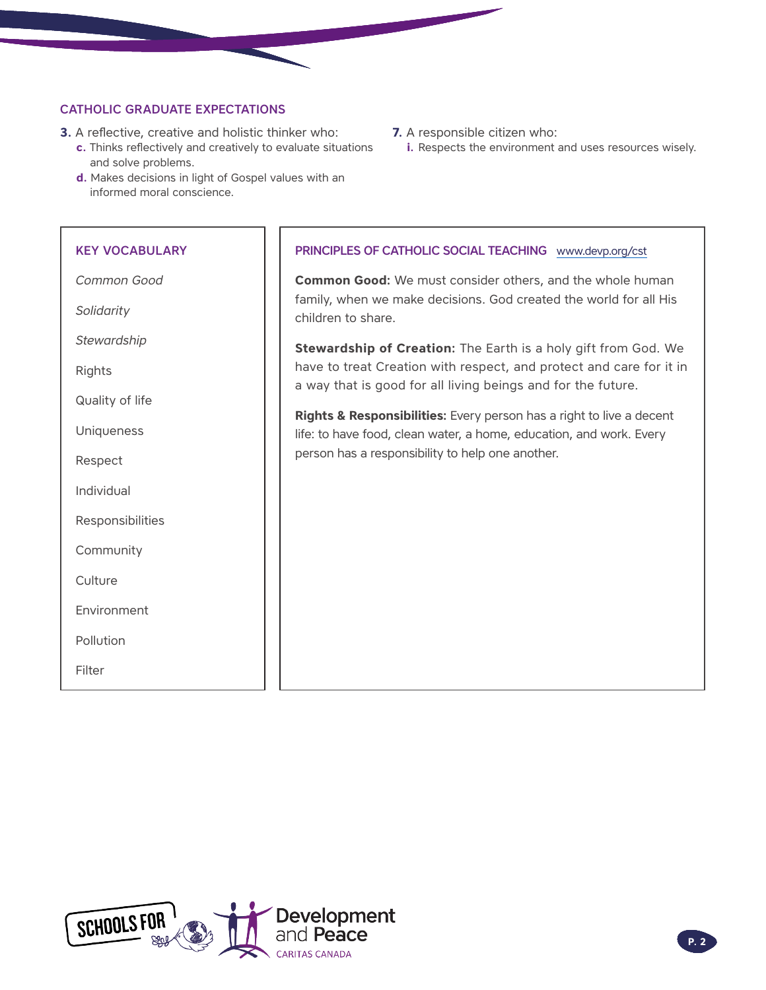#### CATHOLIC GRADUATE EXPECTATIONS

- **3.** A reflective, creative and holistic thinker who:
	- **c.** Thinks reflectively and creatively to evaluate situations and solve problems.
	- **d.** Makes decisions in light of Gospel values with an informed moral conscience.

#### KEY VOCABULARY

*Common Good*

*Solidarity* 

*Stewardship* 

Rights

Quality of life

Uniqueness

Respect

Individual

Responsibilities

Community

**Culture** 

Environment

Pollution

Filter

- **7.** A responsible citizen who:
	- **i.** Respects the environment and uses resources wisely.

#### PRINCIPLES OF CATHOLIC SOCIAL TEACHING www.devp.org/cst

**Common Good:** We must consider others, and the whole human family, when we make decisions. God created the world for all His children to share.

**Stewardship of Creation:** The Earth is a holy gift from God. We have to treat Creation with respect, and protect and care for it in a way that is good for all living beings and for the future.

**Rights & Responsibilities:** Every person has a right to live a decent life: to have food, clean water, a home, education, and work. Every person has a responsibility to help one another.

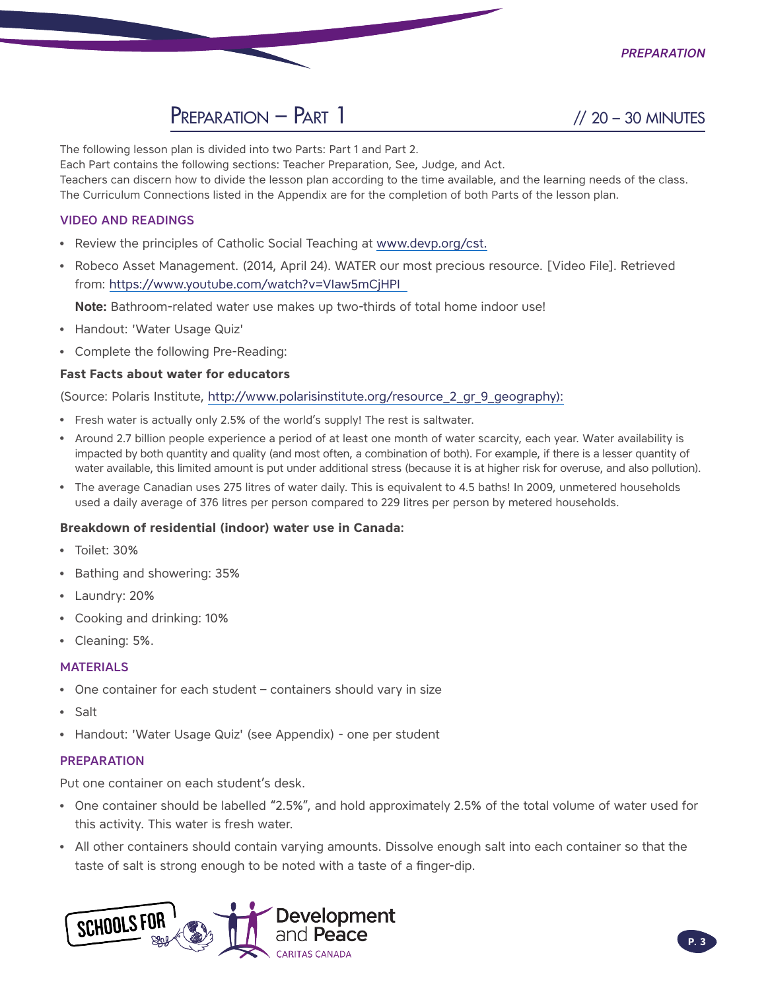

The following lesson plan is divided into two Parts: Part 1 and Part 2.

Each Part contains the following sections: Teacher Preparation, See, Judge, and Act.

Teachers can discern how to divide the lesson plan according to the time available, and the learning needs of the class. The Curriculum Connections listed in the Appendix are for the completion of both Parts of the lesson plan.

#### VIDEO AND READINGS

- Review the principles of Catholic Social Teaching at [www.devp.org/cst.](http://www.devp.org/cst)
- Robeco Asset Management. (2014, April 24). WATER our most precious resource. [Video File]. Retrieved from: https://www.youtube.com/watch?v=VIaw5mCjHPI

**Note:** Bathroom-related water use makes up two-thirds of total home indoor use!

- Handout: 'Water Usage Quiz'
- Complete the following Pre-Reading:

#### **Fast Facts about water for educators**

(Source: Polaris Institute, [http://www.polarisinstitute.org/resource\\_2\\_gr\\_9\\_geography\)](http://www.polarisinstitute.org/resource_2_gr_9_geography):

- Fresh water is actually only 2.5% of the world's supply! The rest is saltwater.
- Around 2.7 billion people experience a period of at least one month of water scarcity, each year. Water availability is impacted by both quantity and quality (and most often, a combination of both). For example, if there is a lesser quantity of water available, this limited amount is put under additional stress (because it is at higher risk for overuse, and also pollution).
- The average Canadian uses 275 litres of water daily. This is equivalent to 4.5 baths! In 2009, unmetered households used a daily average of 376 litres per person compared to 229 litres per person by metered households.

#### **Breakdown of residential (indoor) water use in Canada:**

- Toilet: 30%
- Bathing and showering: 35%
- Laundry: 20%
- Cooking and drinking: 10%
- Cleaning: 5%.

#### MATERIALS

- One container for each student containers should vary in size
- Salt
- Handout: 'Water Usage Quiz' (see Appendix) one per student

#### **PREPARATION**

Put one container on each student's desk.

- One container should be labelled "2.5%", and hold approximately 2.5% of the total volume of water used for this activity. This water is fresh water.
- All other containers should contain varying amounts. Dissolve enough salt into each container so that the taste of salt is strong enough to be noted with a taste of a finger-dip.

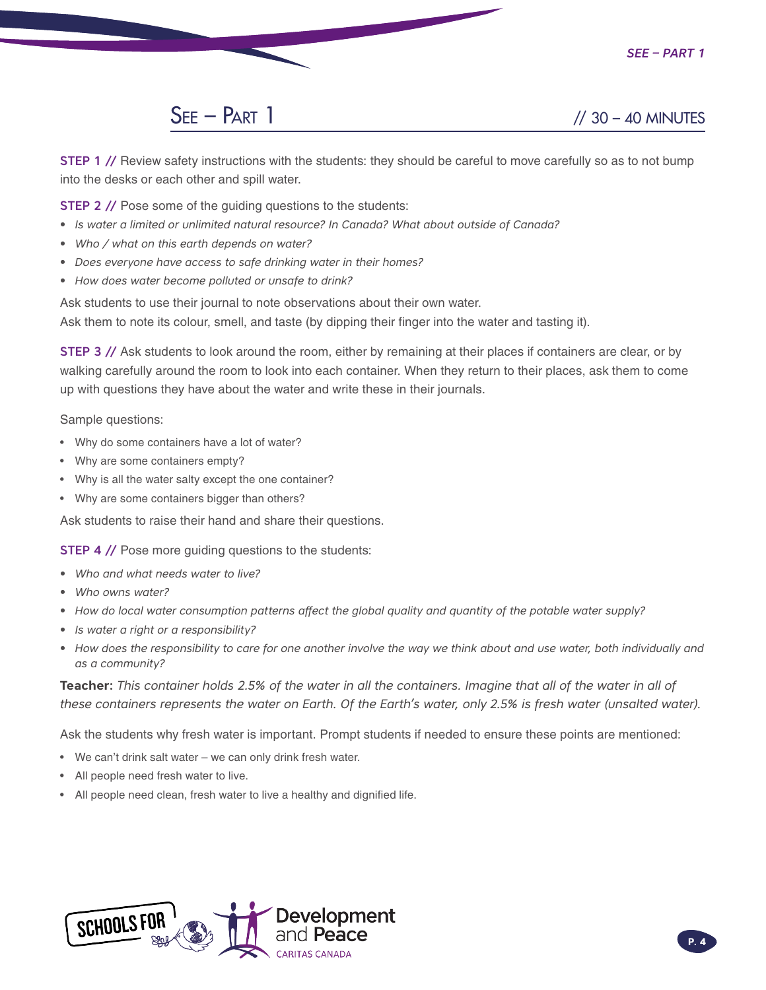

STEP 1 // Review safety instructions with the students: they should be careful to move carefully so as to not bump into the desks or each other and spill water.

**STEP 2 // Pose some of the guiding questions to the students:** 

- *• Is water a limited or unlimited natural resource? In Canada? What about outside of Canada?*
- *• Who / what on this earth depends on water?*
- *• Does everyone have access to safe drinking water in their homes?*
- *• How does water become polluted or unsafe to drink?*

Ask students to use their journal to note observations about their own water.

Ask them to note its colour, smell, and taste (by dipping their finger into the water and tasting it).

STEP 3 // Ask students to look around the room, either by remaining at their places if containers are clear, or by walking carefully around the room to look into each container. When they return to their places, ask them to come up with questions they have about the water and write these in their journals.

Sample questions:

- Why do some containers have a lot of water?
- Why are some containers empty?
- Why is all the water salty except the one container?
- Why are some containers bigger than others?

Ask students to raise their hand and share their questions.

**STEP 4 // Pose more guiding questions to the students:** 

- *• Who and what needs water to live?*
- *• Who owns water?*
- *• How do local water consumption patterns affect the global quality and quantity of the potable water supply?*
- *• Is water a right or a responsibility?*
- How does the responsibility to care for one another involve the way we think about and use water, both individually and *as a community?*

**Teacher:** *This container holds 2.5% of the water in all the containers. Imagine that all of the water in all of these containers represents the water on Earth. Of the Earth's water, only 2.5% is fresh water (unsalted water).* 

Ask the students why fresh water is important. Prompt students if needed to ensure these points are mentioned:

- We can't drink salt water we can only drink fresh water.
- All people need fresh water to live.
- All people need clean, fresh water to live a healthy and dignified life.

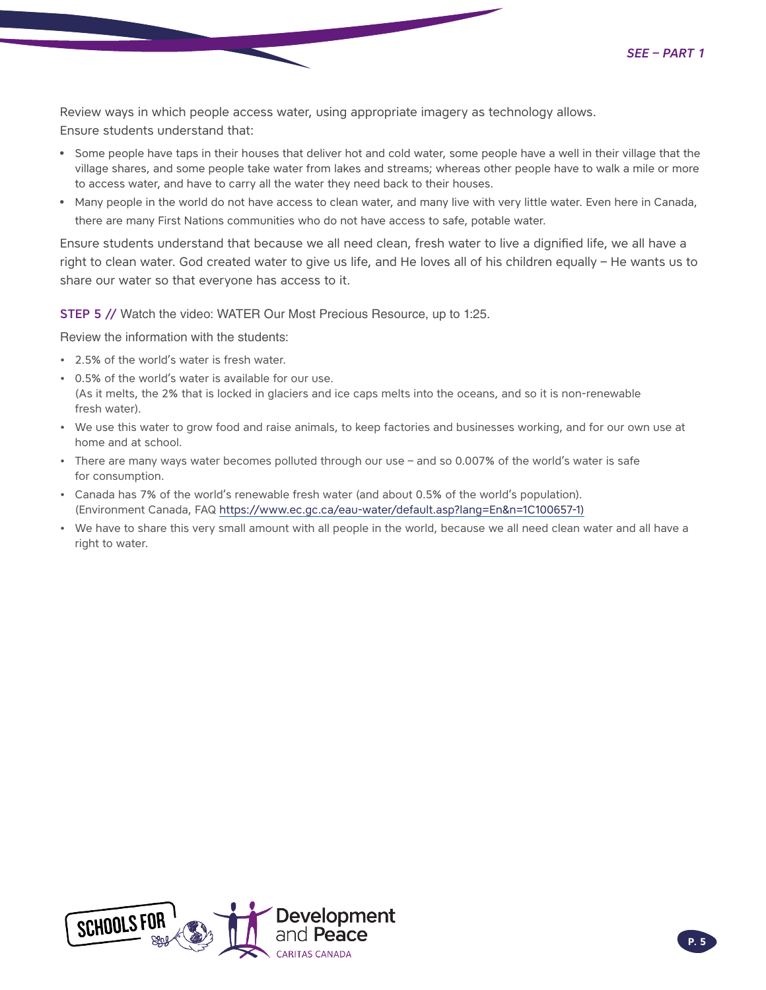Review ways in which people access water, using appropriate imagery as technology allows. Ensure students understand that:

- Some people have taps in their houses that deliver hot and cold water, some people have a well in their village that the village shares, and some people take water from lakes and streams; whereas other people have to walk a mile or more to access water, and have to carry all the water they need back to their houses.
- Many people in the world do not have access to clean water, and many live with very little water. Even here in Canada, there are many First Nations communities who do not have access to safe, potable water.

Ensure students understand that because we all need clean, fresh water to live a dignified life, we all have a right to clean water. God created water to give us life, and He loves all of his children equally – He wants us to share our water so that everyone has access to it.

STEP 5 // Watch the video: WATER Our Most Precious Resource, up to 1:25.

Review the information with the students:

- 2.5% of the world's water is fresh water.
- 0.5% of the world's water is available for our use. (As it melts, the 2% that is locked in glaciers and ice caps melts into the oceans, and so it is non-renewable fresh water).
- We use this water to grow food and raise animals, to keep factories and businesses working, and for our own use at home and at school.
- There are many ways water becomes polluted through our use and so 0.007% of the world's water is safe for consumption.
- Canada has 7% of the world's renewable fresh water (and about 0.5% of the world's population). (Environment Canada, FAQ https://www.ec.gc.ca/eau-water/default.asp?lang=En&n=1C100657-1)
- We have to share this very small amount with all people in the world, because we all need clean water and all have a right to water.

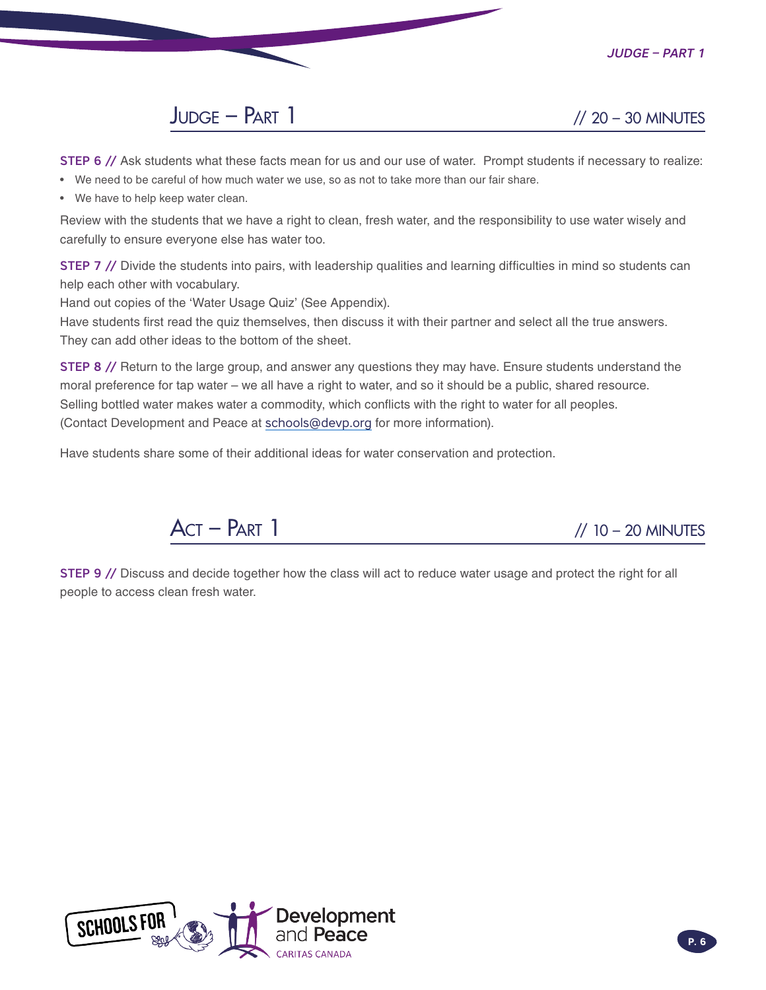*Judge – Part 1*



STEP 6 // Ask students what these facts mean for us and our use of water. Prompt students if necessary to realize:

- We need to be careful of how much water we use, so as not to take more than our fair share.
- We have to help keep water clean.

Review with the students that we have a right to clean, fresh water, and the responsibility to use water wisely and carefully to ensure everyone else has water too.

STEP 7 // Divide the students into pairs, with leadership qualities and learning difficulties in mind so students can help each other with vocabulary.

Hand out copies of the 'Water Usage Quiz' (See Appendix).

Have students first read the quiz themselves, then discuss it with their partner and select all the true answers. They can add other ideas to the bottom of the sheet.

STEP 8 // Return to the large group, and answer any questions they may have. Ensure students understand the moral preference for tap water – we all have a right to water, and so it should be a public, shared resource. Selling bottled water makes water a commodity, which conflicts with the right to water for all peoples. (Contact Development and Peace at schools@devp.org for more information).

Have students share some of their additional ideas for water conservation and protection.



STEP 9 // Discuss and decide together how the class will act to reduce water usage and protect the right for all people to access clean fresh water.

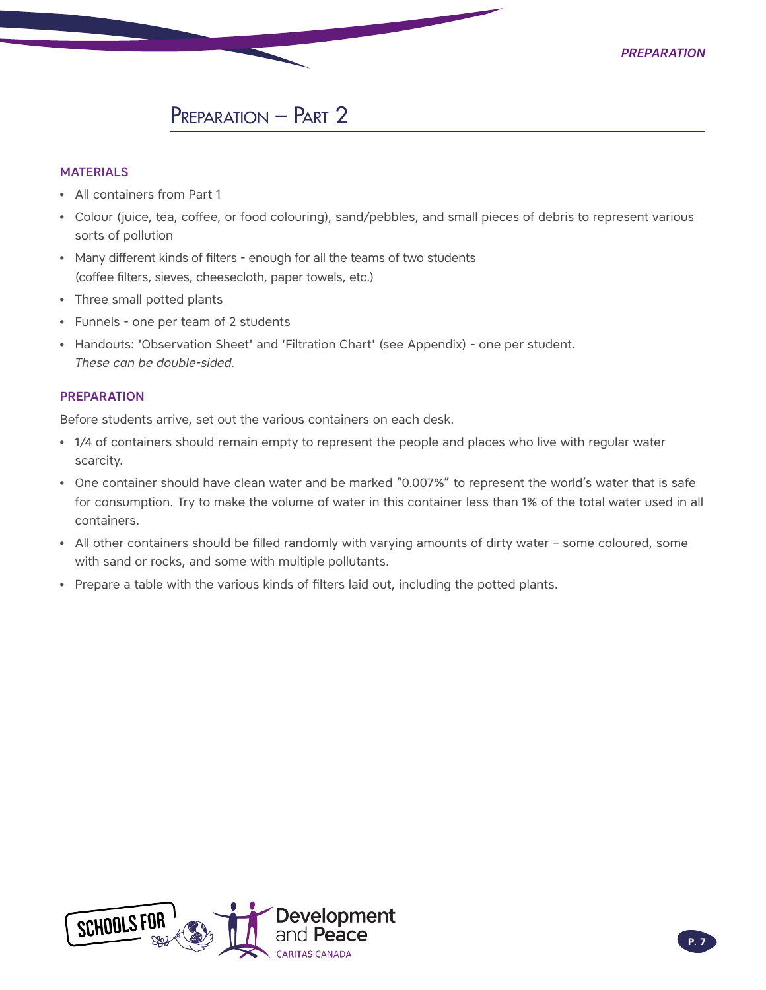### PREPARATION – PART 2

#### **MATERIALS**

- All containers from Part 1
- Colour (juice, tea, coffee, or food colouring), sand/pebbles, and small pieces of debris to represent various sorts of pollution
- Many different kinds of filters enough for all the teams of two students (coffee filters, sieves, cheesecloth, paper towels, etc.)
- Three small potted plants
- Funnels one per team of 2 students
- Handouts: 'Observation Sheet' and 'Filtration Chart' (see Appendix) one per student. *These can be double-sided.*

#### PREPARATION

Before students arrive, set out the various containers on each desk.

- 1/4 of containers should remain empty to represent the people and places who live with regular water scarcity.
- One container should have clean water and be marked "0.007%" to represent the world's water that is safe for consumption. Try to make the volume of water in this container less than 1% of the total water used in all containers.
- All other containers should be filled randomly with varying amounts of dirty water some coloured, some with sand or rocks, and some with multiple pollutants.
- Prepare a table with the various kinds of filters laid out, including the potted plants.

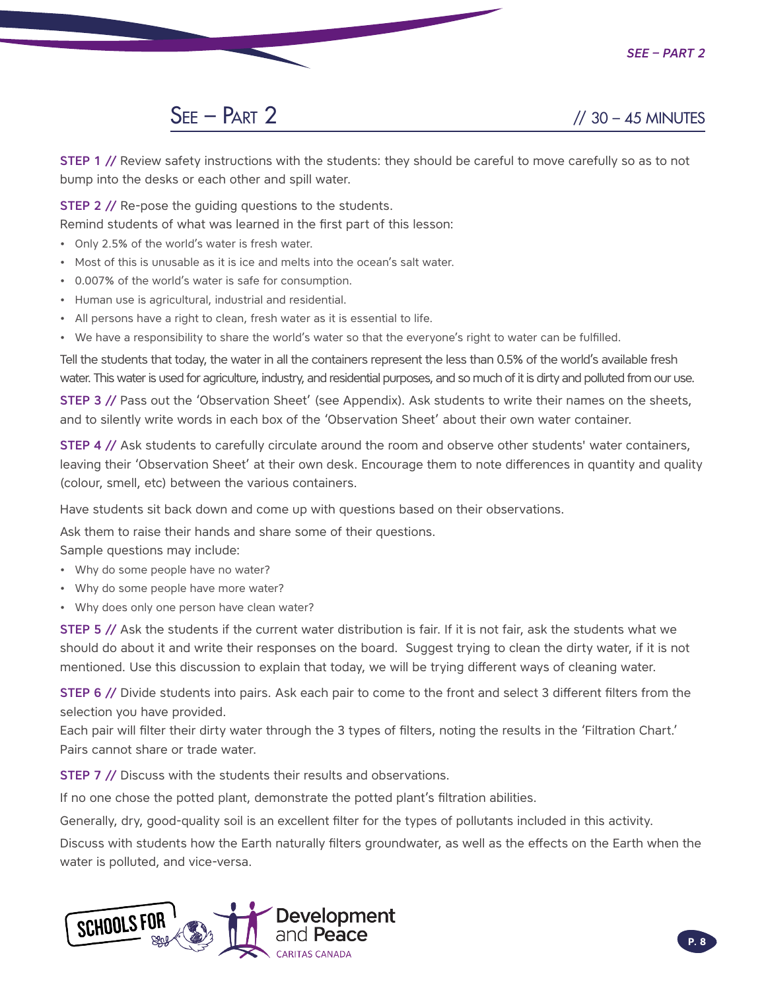## $SEE - PART 2$  // 30 – 45 MINUTES

STEP 1 // Review safety instructions with the students: they should be careful to move carefully so as to not bump into the desks or each other and spill water.

**STEP 2 // Re-pose the guiding questions to the students.** 

Remind students of what was learned in the first part of this lesson:

- Only 2.5% of the world's water is fresh water.
- Most of this is unusable as it is ice and melts into the ocean's salt water.
- 0.007% of the world's water is safe for consumption.
- Human use is agricultural, industrial and residential.
- All persons have a right to clean, fresh water as it is essential to life.
- We have a responsibility to share the world's water so that the everyone's right to water can be fulfilled.

Tell the students that today, the water in all the containers represent the less than 0.5% of the world's available fresh water. This water is used for agriculture, industry, and residential purposes, and so much of it is dirty and polluted from our use.

STEP 3 // Pass out the 'Observation Sheet' (see Appendix). Ask students to write their names on the sheets, and to silently write words in each box of the 'Observation Sheet' about their own water container.

STEP 4 // Ask students to carefully circulate around the room and observe other students' water containers, leaving their 'Observation Sheet' at their own desk. Encourage them to note differences in quantity and quality (colour, smell, etc) between the various containers.

Have students sit back down and come up with questions based on their observations.

Ask them to raise their hands and share some of their questions.

Sample questions may include:

- Why do some people have no water?
- Why do some people have more water?
- Why does only one person have clean water?

STEP 5 // Ask the students if the current water distribution is fair. If it is not fair, ask the students what we should do about it and write their responses on the board. Suggest trying to clean the dirty water, if it is not mentioned. Use this discussion to explain that today, we will be trying different ways of cleaning water.

STEP 6 // Divide students into pairs. Ask each pair to come to the front and select 3 different filters from the selection you have provided.

Each pair will filter their dirty water through the 3 types of filters, noting the results in the 'Filtration Chart.' Pairs cannot share or trade water.

STEP 7 // Discuss with the students their results and observations.

If no one chose the potted plant, demonstrate the potted plant's filtration abilities.

Generally, dry, good-quality soil is an excellent filter for the types of pollutants included in this activity.

Discuss with students how the Earth naturally filters groundwater, as well as the effects on the Earth when the water is polluted, and vice-versa.

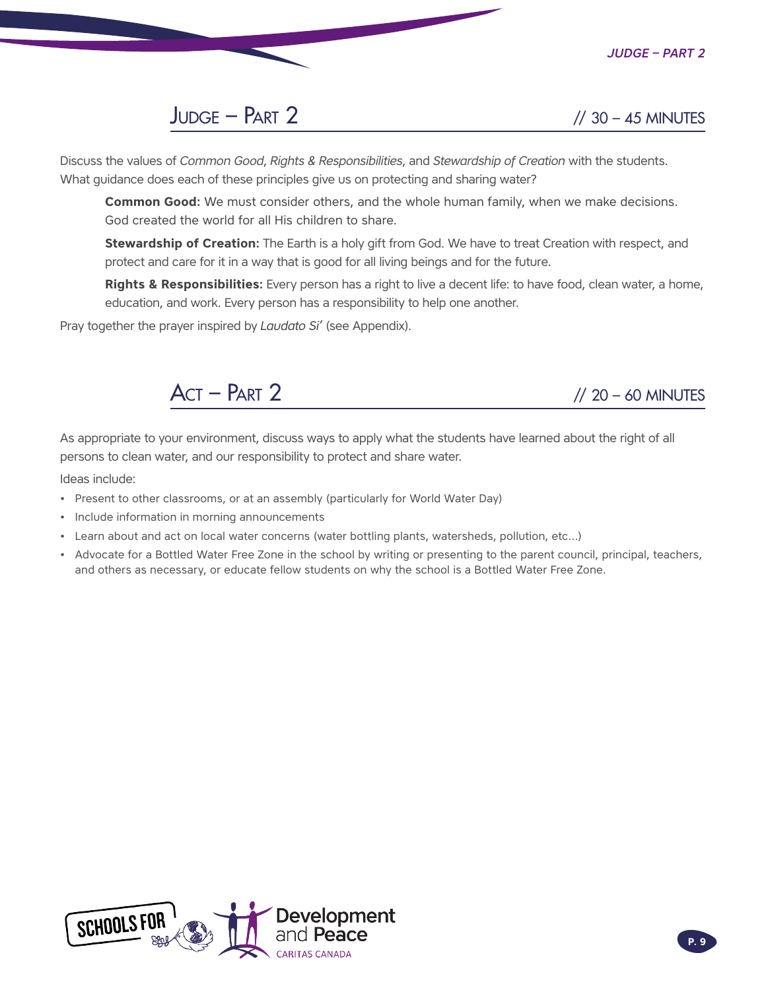

## $JUDGE - PART 2$  // 30 – 45 MINUTES

Discuss the values of *Common Good*, *Rights & Responsibilities*, and *Stewardship of Creation* with the students. What guidance does each of these principles give us on protecting and sharing water?

**Common Good:** We must consider others, and the whole human family, when we make decisions. God created the world for all His children to share.

**Stewardship of Creation:** The Earth is a holy gift from God. We have to treat Creation with respect, and protect and care for it in a way that is good for all living beings and for the future.

**Rights & Responsibilities:** Every person has a right to live a decent life: to have food, clean water, a home, education, and work. Every person has a responsibility to help one another.

Pray together the prayer inspired by *Laudato Si'* (see Appendix).



As appropriate to your environment, discuss ways to apply what the students have learned about the right of all persons to clean water, and our responsibility to protect and share water.

Ideas include:

- Present to other classrooms, or at an assembly (particularly for World Water Day)
- Include information in morning announcements
- Learn about and act on local water concerns (water bottling plants, watersheds, pollution, etc…)
- Advocate for a Bottled Water Free Zone in the school by writing or presenting to the parent council, principal, teachers, and others as necessary, or educate fellow students on why the school is a Bottled Water Free Zone.

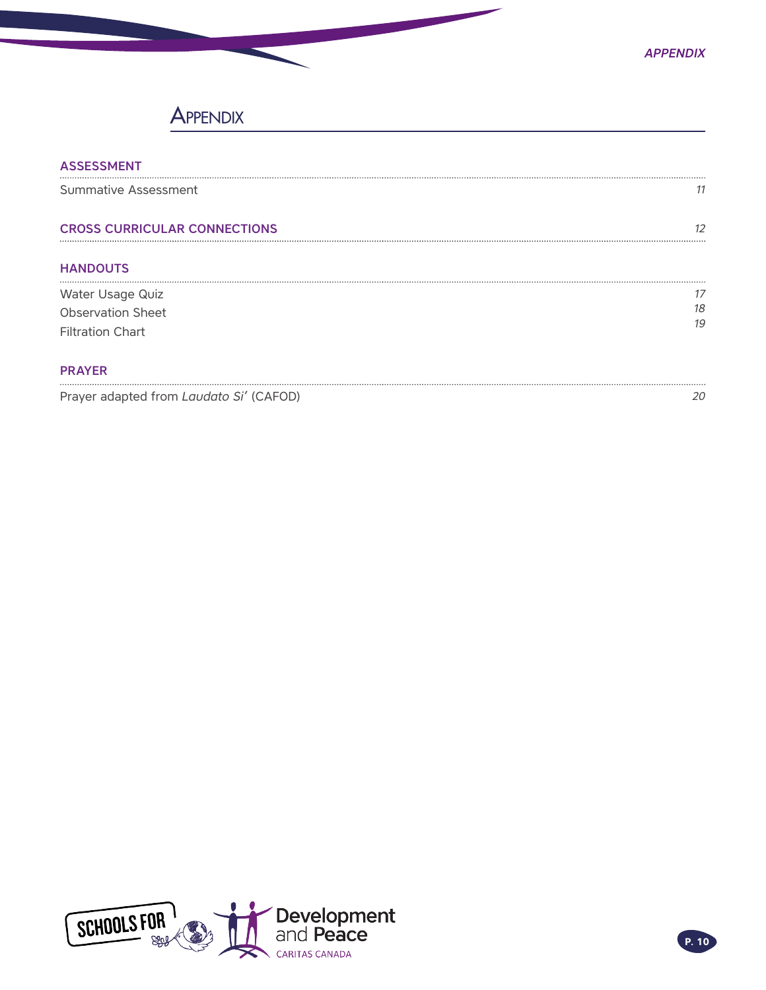### **APPENDIX**

| <b>ASSESSMENT</b>                   |    |
|-------------------------------------|----|
| Summative Assessment                | 11 |
| <b>CROSS CURRICULAR CONNECTIONS</b> | כו |
| <b>HANDOUTS</b>                     |    |
| Water Usage Quiz                    |    |
| <b>Observation Sheet</b>            | 18 |
| <b>Filtration Chart</b>             | 19 |
| <b>PRAYER</b>                       |    |

[Prayer adapted from](#page-19-0) *Laudato Si'* (CAFOD) *[20](#page-19-0)*

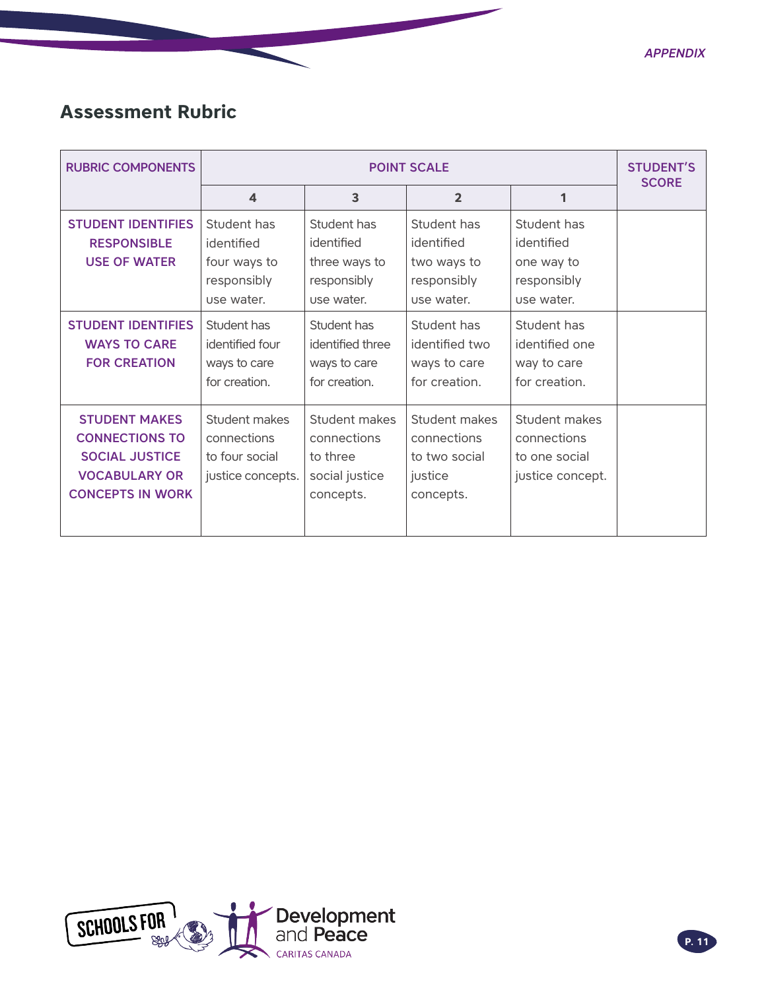*Appendix*

## <span id="page-10-0"></span>**Assessment Rubric**

| <b>RUBRIC COMPONENTS</b>                                                                                                  | <b>POINT SCALE</b>                                                     |                                                                         |                                                                       | <b>STUDENT'S</b><br><b>SCORE</b>                                     |  |
|---------------------------------------------------------------------------------------------------------------------------|------------------------------------------------------------------------|-------------------------------------------------------------------------|-----------------------------------------------------------------------|----------------------------------------------------------------------|--|
|                                                                                                                           | $\overline{\mathbf{4}}$                                                | 3                                                                       | $\overline{2}$                                                        | 1                                                                    |  |
| <b>STUDENT IDENTIFIES</b><br><b>RESPONSIBLE</b><br><b>USE OF WATER</b>                                                    | Student has<br>identified<br>four ways to<br>responsibly<br>use water. | Student has<br>identified<br>three ways to<br>responsibly<br>use water. | Student has<br>identified<br>two ways to<br>responsibly<br>use water. | Student has<br>identified<br>one way to<br>responsibly<br>use water. |  |
| <b>STUDENT IDENTIFIES</b><br><b>WAYS TO CARE</b><br><b>FOR CREATION</b>                                                   | Student has<br>identified four<br>ways to care<br>for creation.        | Student has<br>identified three<br>ways to care<br>for creation.        | Student has<br>identified two<br>ways to care<br>for creation.        | Student has<br>identified one<br>way to care<br>for creation.        |  |
| <b>STUDENT MAKES</b><br><b>CONNECTIONS TO</b><br><b>SOCIAL JUSTICE</b><br><b>VOCABULARY OR</b><br><b>CONCEPTS IN WORK</b> | Student makes<br>connections<br>to four social<br>justice concepts.    | Student makes<br>connections<br>to three<br>social justice<br>concepts. | Student makes<br>connections<br>to two social<br>justice<br>concepts. | Student makes<br>connections<br>to one social<br>justice concept.    |  |

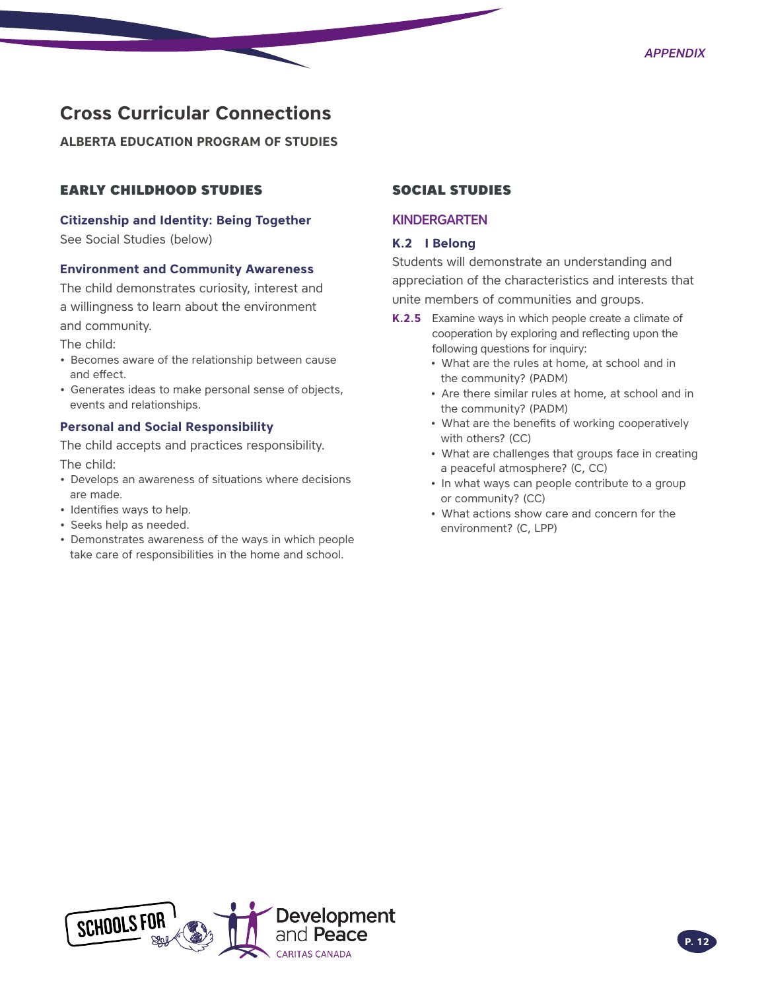### <span id="page-11-0"></span>**Cross Curricular Connections**

**ALBERTA EDUCATION PROGRAM OF STUDIES** 

### EARLY CHILDHOOD STUDIES

#### **Citizenship and Identity: Being Together**

See Social Studies (below)

#### **Environment and Community Awareness**

The child demonstrates curiosity, interest and a willingness to learn about the environment and community.

The child:

- Becomes aware of the relationship between cause and effect.
- Generates ideas to make personal sense of objects, events and relationships.

#### **Personal and Social Responsibility**

The child accepts and practices responsibility. The child:

- Develops an awareness of situations where decisions are made.
- Identifies ways to help.
- Seeks help as needed.
- Demonstrates awareness of the ways in which people take care of responsibilities in the home and school.

#### SOCIAL STUDIES

#### **KINDERGARTEN**

#### **K.2 I Belong**

Students will demonstrate an understanding and appreciation of the characteristics and interests that unite members of communities and groups.

- **K.2.5** Examine ways in which people create a climate of cooperation by exploring and reflecting upon the following questions for inquiry:
	- What are the rules at home, at school and in the community? (PADM)
	- Are there similar rules at home, at school and in the community? (PADM)
	- What are the benefits of working cooperatively with others? (CC)
	- What are challenges that groups face in creating a peaceful atmosphere? (C, CC)
	- In what ways can people contribute to a group or community? (CC)
	- What actions show care and concern for the environment? (C, LPP)

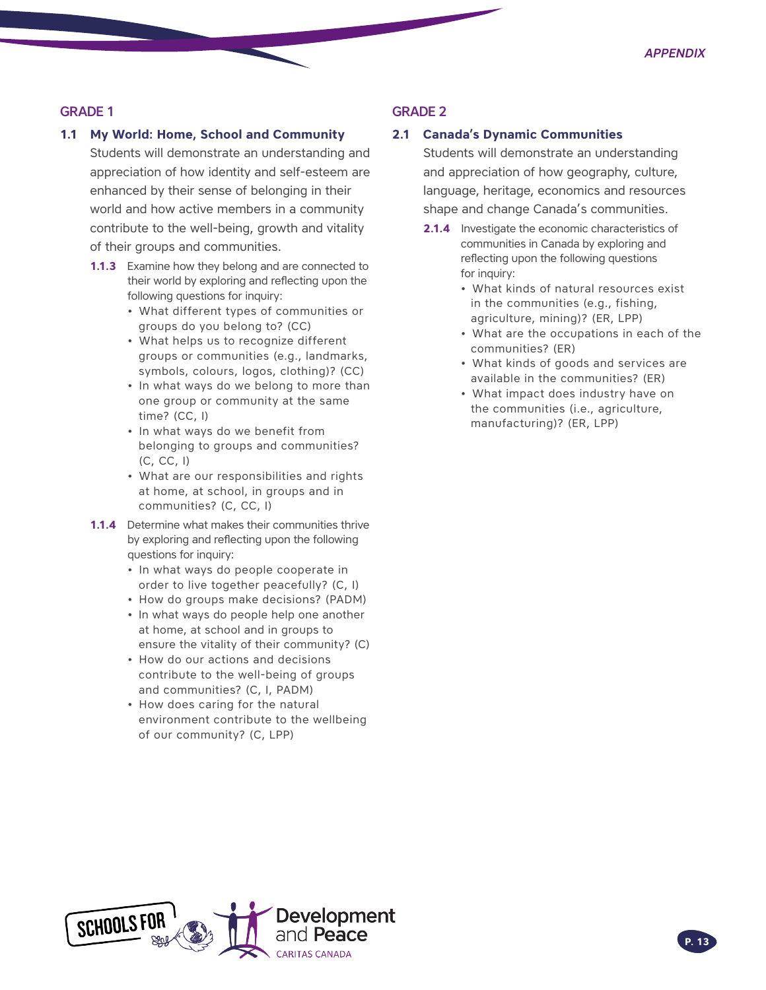#### GRADE 1

#### **1.1 My World: Home, School and Community**

Students will demonstrate an understanding and appreciation of how identity and self-esteem are enhanced by their sense of belonging in their world and how active members in a community contribute to the well-being, growth and vitality of their groups and communities.

- **1.1.3** Examine how they belong and are connected to their world by exploring and reflecting upon the following questions for inquiry:
	- What different types of communities or groups do you belong to? (CC)
	- What helps us to recognize different groups or communities (e.g., landmarks, symbols, colours, logos, clothing)? (CC)
	- In what ways do we belong to more than one group or community at the same time? (CC, I)
	- In what ways do we benefit from belonging to groups and communities? (C, CC, I)
	- What are our responsibilities and rights at home, at school, in groups and in communities? (C, CC, I)
- **1.1.4** Determine what makes their communities thrive by exploring and reflecting upon the following questions for inquiry:
	- In what ways do people cooperate in order to live together peacefully? (C, I)
	- How do groups make decisions? (PADM)
	- In what ways do people help one another at home, at school and in groups to ensure the vitality of their community? (C)
	- How do our actions and decisions contribute to the well-being of groups and communities? (C, I, PADM)
	- How does caring for the natural environment contribute to the wellbeing of our community? (C, LPP)

#### GRADE 2

#### **2.1 Canada's Dynamic Communities**

Students will demonstrate an understanding and appreciation of how geography, culture, language, heritage, economics and resources shape and change Canada's communities.

- **2.1.4** Investigate the economic characteristics of communities in Canada by exploring and reflecting upon the following questions for inquiry:
	- What kinds of natural resources exist in the communities (e.g., fishing, agriculture, mining)? (ER, LPP)
	- What are the occupations in each of the communities? (ER)
	- What kinds of goods and services are available in the communities? (ER)
	- What impact does industry have on the communities (i.e., agriculture, manufacturing)? (ER, LPP)

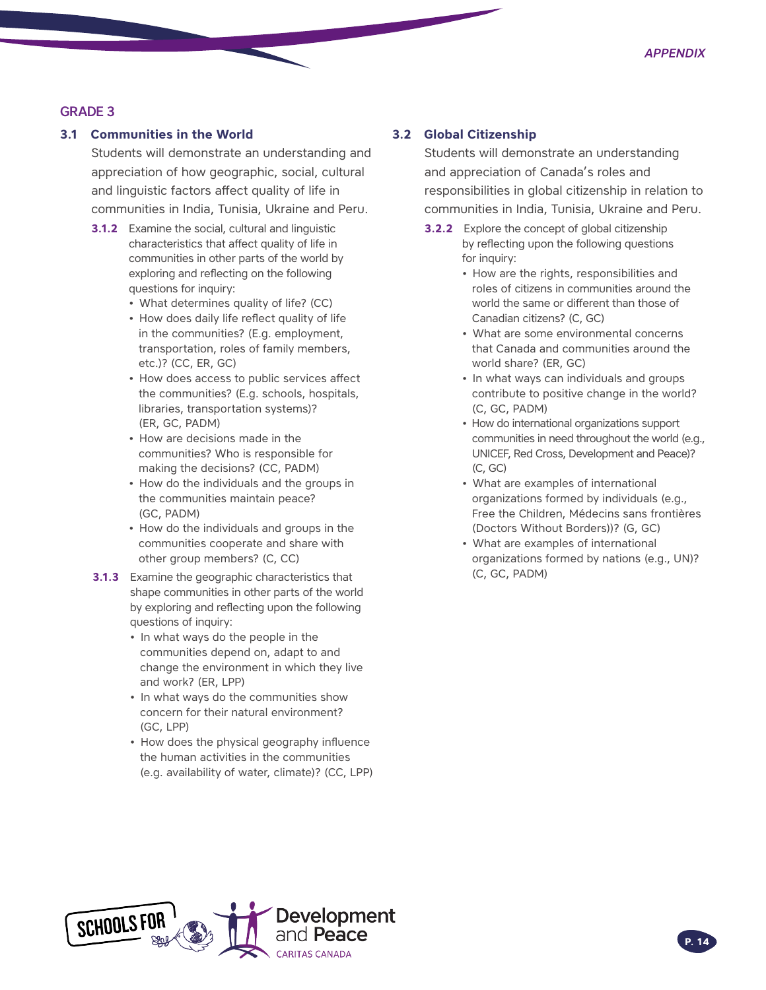#### GRADE 3

#### **3.1 Communities in the World**

Students will demonstrate an understanding and appreciation of how geographic, social, cultural and linguistic factors affect quality of life in communities in India, Tunisia, Ukraine and Peru.

- **3.1.2** Examine the social, cultural and linguistic characteristics that affect quality of life in communities in other parts of the world by exploring and reflecting on the following questions for inquiry:
	- What determines quality of life? (CC)
	- How does daily life reflect quality of life in the communities? (E.g. employment, transportation, roles of family members, etc.)? (CC, ER, GC)
	- How does access to public services affect the communities? (E.g. schools, hospitals, libraries, transportation systems)? (ER, GC, PADM)
	- How are decisions made in the communities? Who is responsible for making the decisions? (CC, PADM)
	- How do the individuals and the groups in the communities maintain peace? (GC, PADM)
	- How do the individuals and groups in the communities cooperate and share with other group members? (C, CC)
- **3.1.3** Examine the geographic characteristics that shape communities in other parts of the world by exploring and reflecting upon the following questions of inquiry:
	- In what ways do the people in the communities depend on, adapt to and change the environment in which they live and work? (ER, LPP)
	- In what ways do the communities show concern for their natural environment? (GC, LPP)
	- How does the physical geography influence the human activities in the communities (e.g. availability of water, climate)? (CC, LPP)

#### **3.2 Global Citizenship**

Students will demonstrate an understanding and appreciation of Canada's roles and responsibilities in global citizenship in relation to communities in India, Tunisia, Ukraine and Peru.

- **3.2.2** Explore the concept of global citizenship by reflecting upon the following questions for inquiry:
	- How are the rights, responsibilities and roles of citizens in communities around the world the same or different than those of Canadian citizens? (C, GC)
	- What are some environmental concerns that Canada and communities around the world share? (ER, GC)
	- In what ways can individuals and groups contribute to positive change in the world? (C, GC, PADM)
	- How do international organizations support communities in need throughout the world (e.g., UNICEF, Red Cross, Development and Peace)? (C, GC)
	- What are examples of international organizations formed by individuals (e.g., Free the Children, Médecins sans frontières (Doctors Without Borders))? (G, GC)
	- What are examples of international organizations formed by nations (e.g., UN)? (C, GC, PADM)

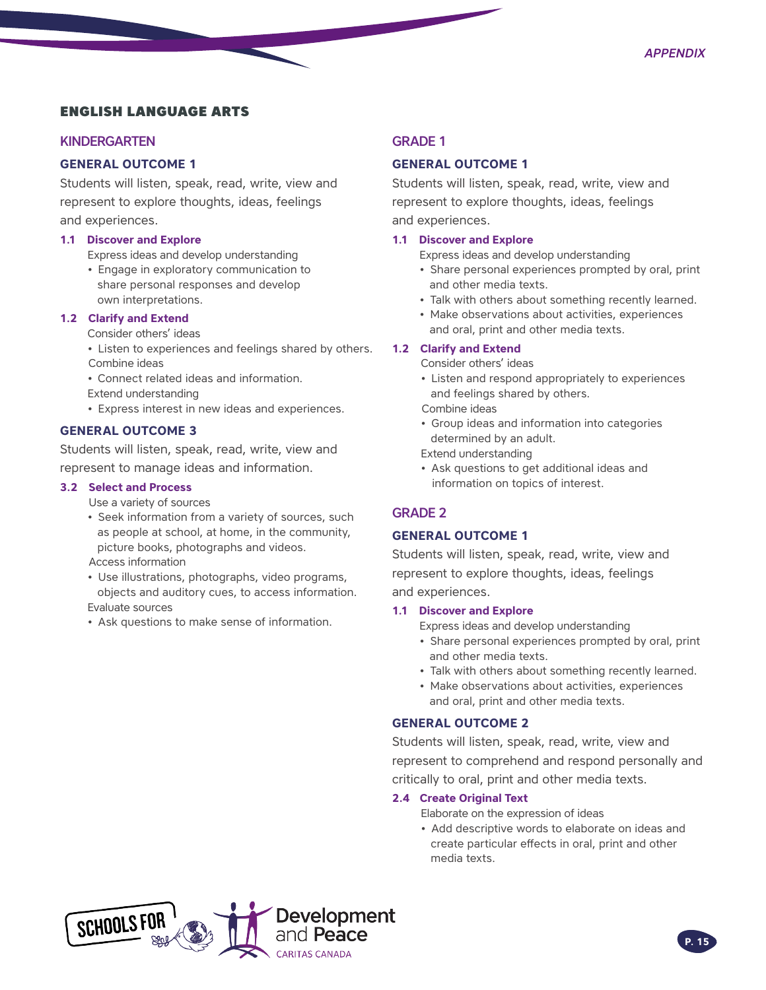### ENGLISH LANGUAGE ARTS

#### KINDERGARTEN

#### **GENERAL OUTCOME 1**

Students will listen, speak, read, write, view and represent to explore thoughts, ideas, feelings and experiences.

#### **1.1 Discover and Explore**

Express ideas and develop understanding

• Engage in exploratory communication to share personal responses and develop own interpretations.

#### **1.2 Clarify and Extend**

Consider others' ideas

- Listen to experiences and feelings shared by others. Combine ideas
- Connect related ideas and information.
- Extend understanding
- Express interest in new ideas and experiences.

#### **GENERAL OUTCOME 3**

Students will listen, speak, read, write, view and represent to manage ideas and information.

#### **3.2 Select and Process**

Use a variety of sources

• Seek information from a variety of sources, such as people at school, at home, in the community, picture books, photographs and videos.

Access information

- Use illustrations, photographs, video programs, objects and auditory cues, to access information. Evaluate sources
- Ask questions to make sense of information.

#### GRADE 1

#### **GENERAL OUTCOME 1**

Students will listen, speak, read, write, view and represent to explore thoughts, ideas, feelings and experiences.

#### **1.1 Discover and Explore**

Express ideas and develop understanding

- Share personal experiences prompted by oral, print and other media texts.
- Talk with others about something recently learned.
- Make observations about activities, experiences and oral, print and other media texts.

#### **1.2 Clarify and Extend**

Consider others' ideas

- Listen and respond appropriately to experiences and feelings shared by others.
- Combine ideas
- Group ideas and information into categories determined by an adult.

Extend understanding

• Ask questions to get additional ideas and information on topics of interest.

#### GRADE 2

#### **GENERAL OUTCOME 1**

Students will listen, speak, read, write, view and represent to explore thoughts, ideas, feelings and experiences.

#### **1.1 Discover and Explore**

Express ideas and develop understanding

- Share personal experiences prompted by oral, print and other media texts.
- Talk with others about something recently learned.
- Make observations about activities, experiences and oral, print and other media texts.

#### **GENERAL OUTCOME 2**

Students will listen, speak, read, write, view and represent to comprehend and respond personally and critically to oral, print and other media texts.

#### **2.4 Create Original Text**

Elaborate on the expression of ideas

• Add descriptive words to elaborate on ideas and create particular effects in oral, print and other media texts.

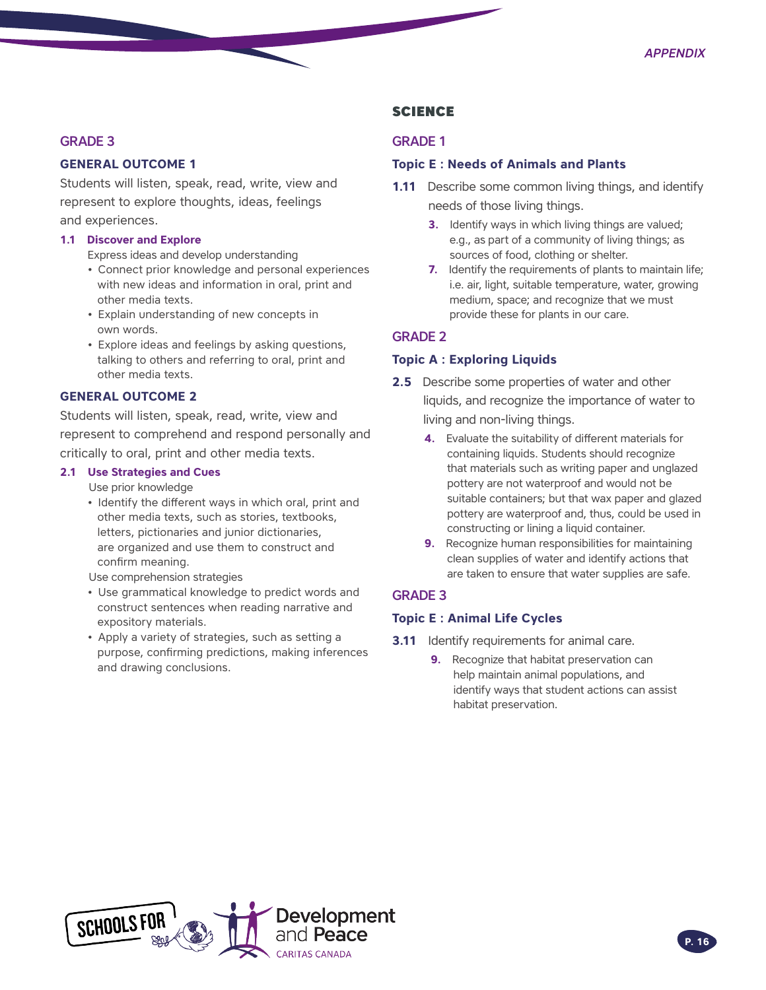#### GRADE 3

#### **GENERAL OUTCOME 1**

Students will listen, speak, read, write, view and represent to explore thoughts, ideas, feelings and experiences.

#### **1.1 Discover and Explore**

Express ideas and develop understanding

- Connect prior knowledge and personal experiences with new ideas and information in oral, print and other media texts.
- Explain understanding of new concepts in own words.
- Explore ideas and feelings by asking questions, talking to others and referring to oral, print and other media texts.

#### **GENERAL OUTCOME 2**

Students will listen, speak, read, write, view and represent to comprehend and respond personally and critically to oral, print and other media texts.

#### **2.1 Use Strategies and Cues**

Use prior knowledge

• Identify the different ways in which oral, print and other media texts, such as stories, textbooks, letters, pictionaries and junior dictionaries, are organized and use them to construct and confirm meaning.

Use comprehension strategies

- Use grammatical knowledge to predict words and construct sentences when reading narrative and expository materials.
- Apply a variety of strategies, such as setting a purpose, confirming predictions, making inferences and drawing conclusions.

#### **SCIENCE**

#### GRADE 1

#### **Topic E : Needs of Animals and Plants**

- **1.11** Describe some common living things, and identify needs of those living things.
	- **3.** Identify ways in which living things are valued; e.g., as part of a community of living things; as sources of food, clothing or shelter.
	- **7.** Identify the requirements of plants to maintain life; i.e. air, light, suitable temperature, water, growing medium, space; and recognize that we must provide these for plants in our care.

#### GRADE 2

#### **Topic A : Exploring Liquids**

- **2.5** Describe some properties of water and other liquids, and recognize the importance of water to living and non-living things.
	- **4.** Evaluate the suitability of different materials for containing liquids. Students should recognize that materials such as writing paper and unglazed pottery are not waterproof and would not be suitable containers; but that wax paper and glazed pottery are waterproof and, thus, could be used in constructing or lining a liquid container.
	- **9.** Recognize human responsibilities for maintaining clean supplies of water and identify actions that are taken to ensure that water supplies are safe.

#### GRADE 3

#### **Topic E : Animal Life Cycles**

- **3.11** Identify requirements for animal care.
	- **9.** Recognize that habitat preservation can help maintain animal populations, and identify ways that student actions can assist habitat preservation.

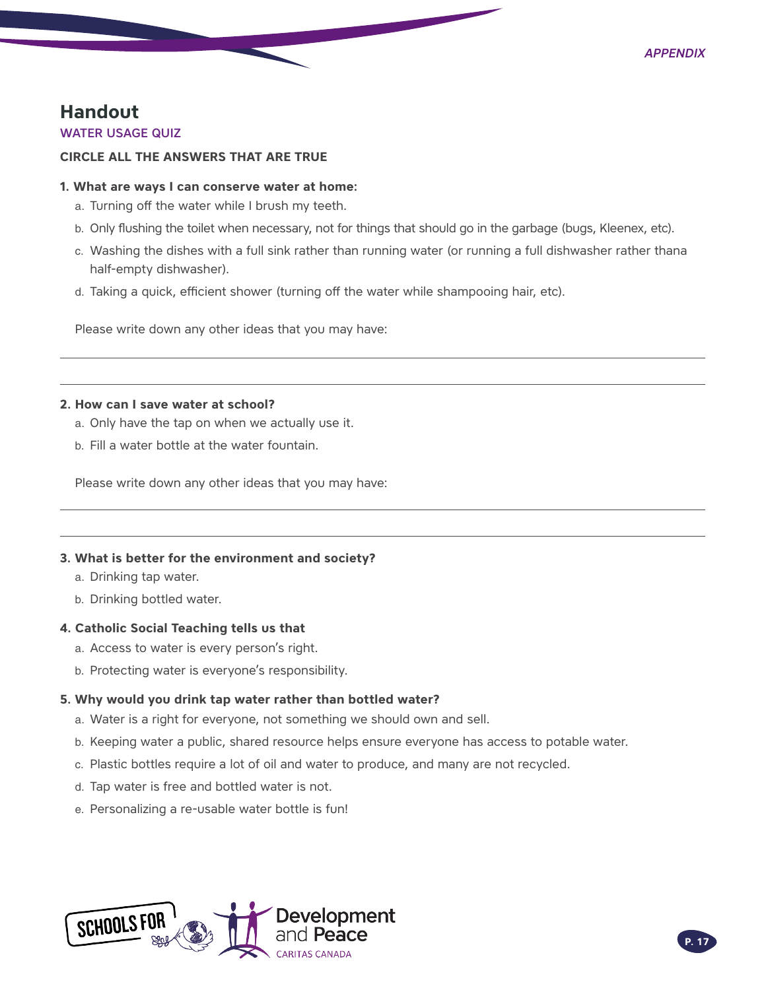### <span id="page-16-0"></span>**Handout**

#### WATER USAGE QUIZ

#### **CIRCLE ALL THE ANSWERS THAT ARE TRUE**

#### **1. What are ways I can conserve water at home:**

- a. Turning off the water while I brush my teeth.
- b. Only flushing the toilet when necessary, not for things that should go in the garbage (bugs, Kleenex, etc).
- c. Washing the dishes with a full sink rather than running water (or running a full dishwasher rather thana half-empty dishwasher).
- d. Taking a quick, efficient shower (turning off the water while shampooing hair, etc).

Please write down any other ideas that you may have:

#### **2. How can I save water at school?**

- a. Only have the tap on when we actually use it.
- b. Fill a water bottle at the water fountain.

Please write down any other ideas that you may have:

#### **3. What is better for the environment and society?**

- a. Drinking tap water.
- b. Drinking bottled water.

#### **4. Catholic Social Teaching tells us that**

- a. Access to water is every person's right.
- b. Protecting water is everyone's responsibility.

#### **5. Why would you drink tap water rather than bottled water?**

- a. Water is a right for everyone, not something we should own and sell.
- b. Keeping water a public, shared resource helps ensure everyone has access to potable water.
- c. Plastic bottles require a lot of oil and water to produce, and many are not recycled.
- d. Tap water is free and bottled water is not.
- e. Personalizing a re-usable water bottle is fun!

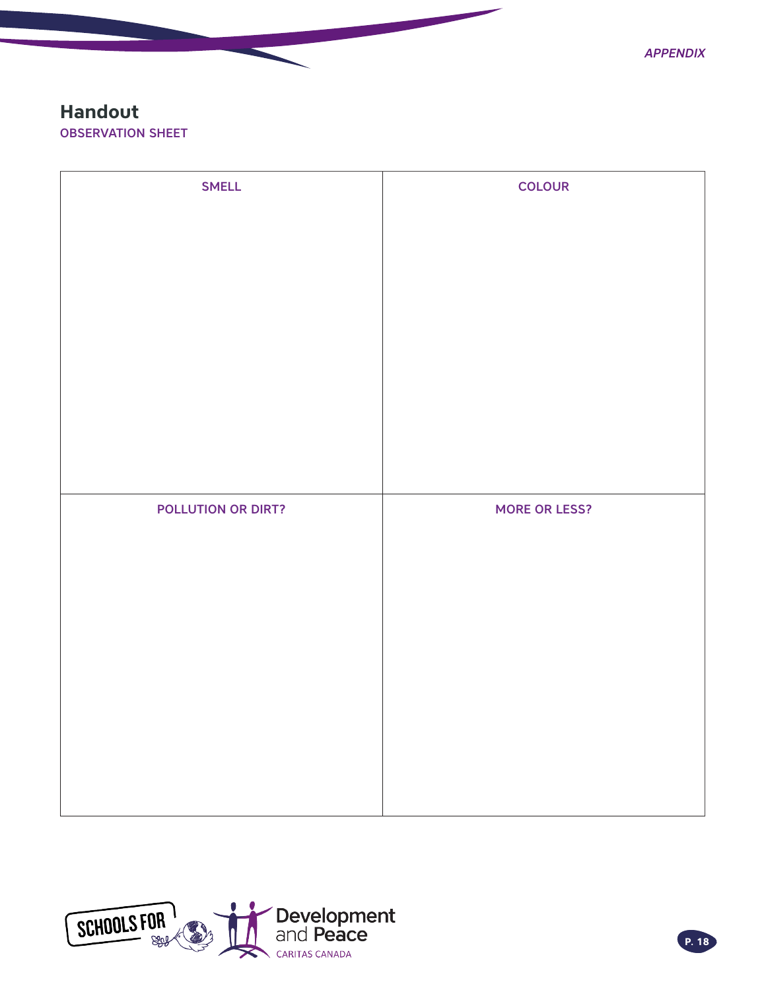### <span id="page-17-0"></span>**Handout** OBSERVATION SHEET

| <b>SMELL</b>       | <b>COLOUR</b>        |
|--------------------|----------------------|
|                    |                      |
|                    |                      |
|                    |                      |
|                    |                      |
|                    |                      |
|                    |                      |
|                    |                      |
|                    |                      |
|                    |                      |
|                    |                      |
|                    |                      |
| POLLUTION OR DIRT? | <b>MORE OR LESS?</b> |
|                    |                      |
|                    |                      |
|                    |                      |
|                    |                      |
|                    |                      |
|                    |                      |
|                    |                      |
|                    |                      |
|                    |                      |

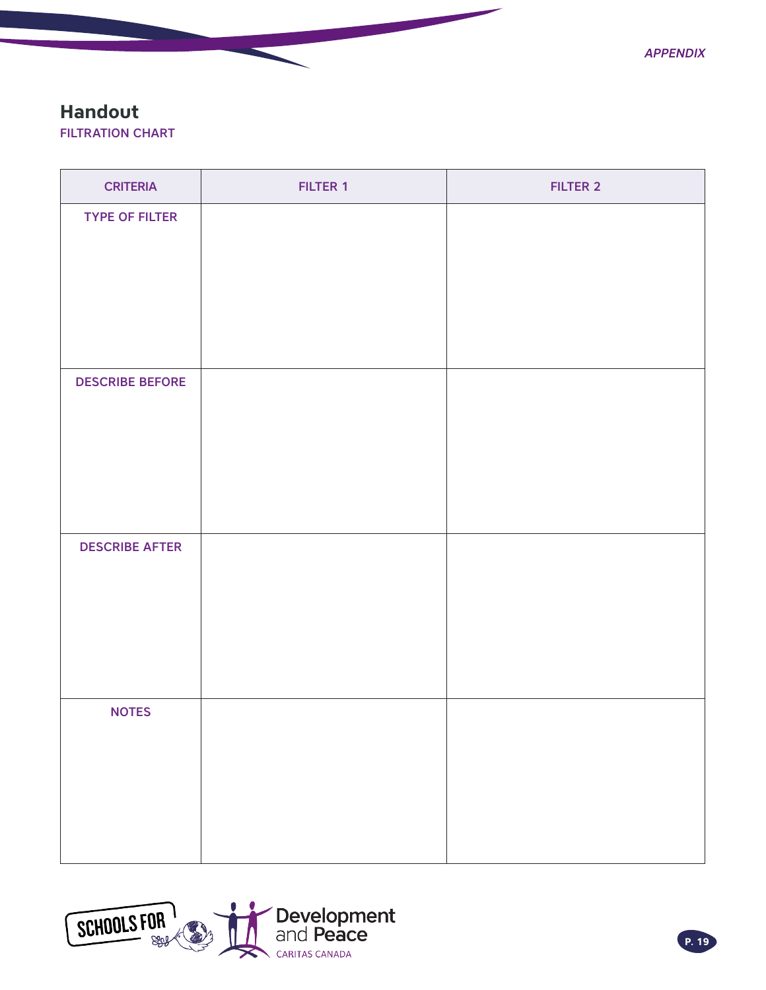*Appendix*

### <span id="page-18-0"></span>**Handout**

FILTRATION CHART

| <b>CRITERIA</b>        | <b>FILTER 1</b> | <b>FILTER 2</b> |
|------------------------|-----------------|-----------------|
| <b>TYPE OF FILTER</b>  |                 |                 |
|                        |                 |                 |
|                        |                 |                 |
|                        |                 |                 |
|                        |                 |                 |
| <b>DESCRIBE BEFORE</b> |                 |                 |
|                        |                 |                 |
|                        |                 |                 |
|                        |                 |                 |
|                        |                 |                 |
| <b>DESCRIBE AFTER</b>  |                 |                 |
|                        |                 |                 |
|                        |                 |                 |
|                        |                 |                 |
|                        |                 |                 |
| <b>NOTES</b>           |                 |                 |
|                        |                 |                 |
|                        |                 |                 |
|                        |                 |                 |
|                        |                 |                 |